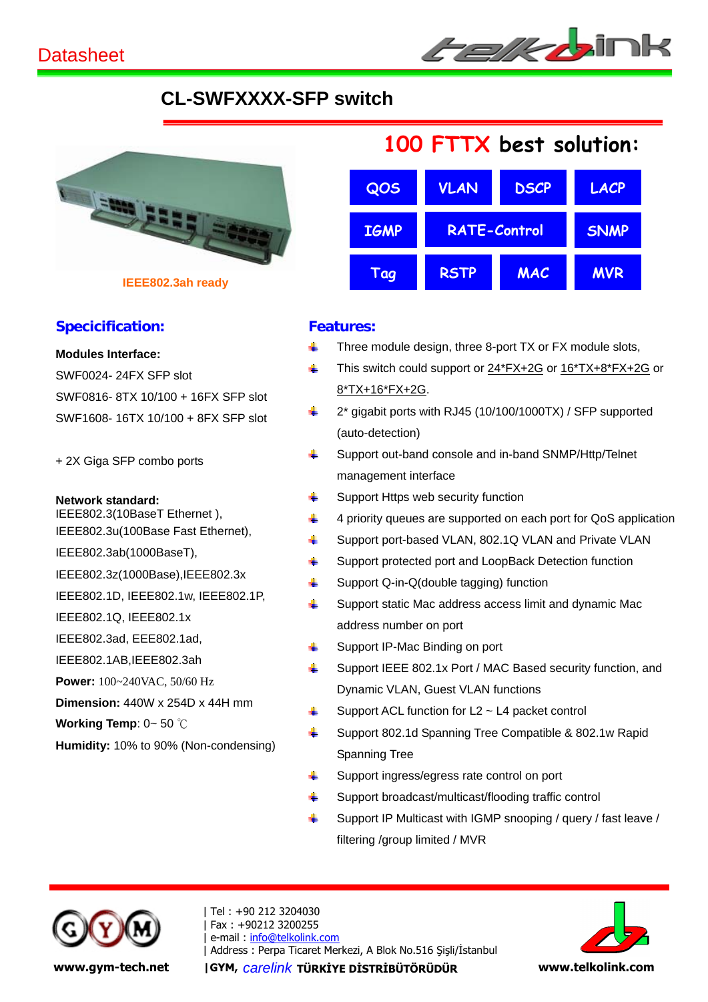# **CL-SWFXXXX-SFP switch**



**IEEE802.3ah ready**

### **Specicification:**

**Modules Interface:**

SWF0024- 24FX SFP slot SWF0816- 8TX 10/100 + 16FX SFP slot SWF1608- 16TX 10/100 + 8FX SFP slot

+ 2X Giga SFP combo ports

**Network standard:**

IEEE802.3(10BaseT Ethernet ), IEEE802.3u(100Base Fast Ethernet),

IEEE802.3ab(1000BaseT),

IEEE802.3z(1000Base),IEEE802.3x

IEEE802.1D, IEEE802.1w, IEEE802.1P,

IEEE802.1Q, IEEE802.1x

IEEE802.3ad, EEE802.1ad,

IEEE802.1AB,IEEE802.3ah

**Power:** 100~240VAC, 50/60 Hz

**Dimension:** 440W x 254D x 44H mm

**Working Temp**: 0~ 50 ℃

**Humidity:** 10% to 90% (Non-condensing)



## **Features:**

- $\downarrow$  Three module design, three 8-port TX or FX module slots,
- This switch could support or  $24*FX+2G$  or  $16*TX+8*FX+2G$  or 8\*TX+16\*FX+2G.
- $\frac{1}{2}$  2<sup>\*</sup> gigabit ports with RJ45 (10/100/1000TX) / SFP supported (auto-detection)
- Support out-band console and in-band SNMP/Http/Telnet management interface
- $\frac{1}{\sqrt{2}}$  Support Https web security function
- $\downarrow$  4 priority queues are supported on each port for QoS application
- Support port-based VLAN, 802.1Q VLAN and Private VLAN
- **↓** Support protected port and LoopBack Detection function
- $\downarrow$  Support Q-in-Q(double tagging) function
- $\frac{1}{2}$  Support static Mac address access limit and dynamic Mac address number on port
- $\downarrow$  Support IP-Mac Binding on port
- Support IEEE 802.1x Port / MAC Based security function, and Dynamic VLAN, Guest VLAN functions
- $\frac{1}{2}$  Support ACL function for L2 ~ L4 packet control
- Support 802.1d Spanning Tree Compatible & 802.1w Rapid Spanning Tree
- Support ingress/egress rate control on port
- $\frac{1}{2}$  Support broadcast/multicast/flooding traffic control
- $\frac{1}{2}$  Support IP Multicast with IGMP snooping / query / fast leave / filtering /group limited / MVR



| Tel : +90 212 3204030 | Fax : +90212 3200255 | e-mail : info@telkolink.com | Address : Perpa Ticaret Merkezi, A Blok No.516 Şişli/İstanbul **www.gym-tech.net** | GYM, *carelink* **TÜRKİYE DİSTRİBÜTÖRÜDÜR** www.telkolink.com